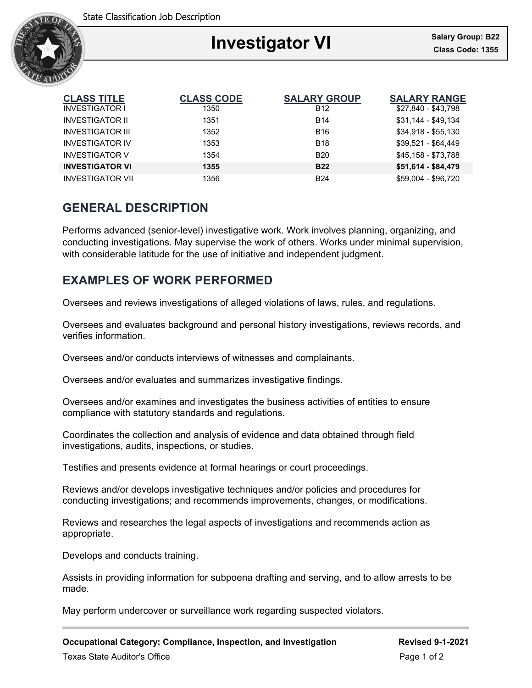

### Ξ **Investigator VI Class Code: 1355**

| <b>CLASS TITLE</b>      | <b>CLASS CODE</b> | <b>SALARY GROUP</b> | <b>SALARY RANGE</b> |
|-------------------------|-------------------|---------------------|---------------------|
| <b>INVESTIGATOR I</b>   | 1350              | <b>B12</b>          | \$27,840 - \$43,798 |
| <b>INVESTIGATOR II</b>  | 1351              | <b>B14</b>          | \$31,144 - \$49,134 |
| <b>INVESTIGATOR III</b> | 1352              | <b>B16</b>          | $$34,918 - $55,130$ |
| <b>INVESTIGATOR IV</b>  | 1353              | <b>B18</b>          | $$39,521 - $64,449$ |
| <b>INVESTIGATOR V</b>   | 1354              | <b>B20</b>          | \$45,158 - \$73,788 |
| <b>INVESTIGATOR VI</b>  | 1355              | <b>B22</b>          | \$51,614 - \$84,479 |
| <b>INVESTIGATOR VII</b> | 1356              | <b>B24</b>          | \$59,004 - \$96,720 |

### **GENERAL DESCRIPTION**

Performs advanced (senior-level) investigative work. Work involves planning, organizing, and conducting investigations. May supervise the work of others. Works under minimal supervision, with considerable latitude for the use of initiative and independent judgment.

# **EXAMPLES OF WORK PERFORMED**

Oversees and reviews investigations of alleged violations of laws, rules, and regulations.

Oversees and evaluates background and personal history investigations, reviews records, and verifies information.

Oversees and/or conducts interviews of witnesses and complainants.

Oversees and/or evaluates and summarizes investigative findings.

Oversees and/or examines and investigates the business activities of entities to ensure compliance with statutory standards and regulations.

Coordinates the collection and analysis of evidence and data obtained through field investigations, audits, inspections, or studies.

Testifies and presents evidence at formal hearings or court proceedings.

Reviews and/or develops investigative techniques and/or policies and procedures for conducting investigations; and recommends improvements, changes, or modifications.

Reviews and researches the legal aspects of investigations and recommends action as appropriate.

Develops and conducts training.

Assists in providing information for subpoena drafting and serving, and to allow arrests to be made.

May perform undercover or surveillance work regarding suspected violators.

**Occupational Category: Compliance, Inspection, and Investigation Revised 9-1-2021**

Texas State Auditor's Office **Page 1 of 2**